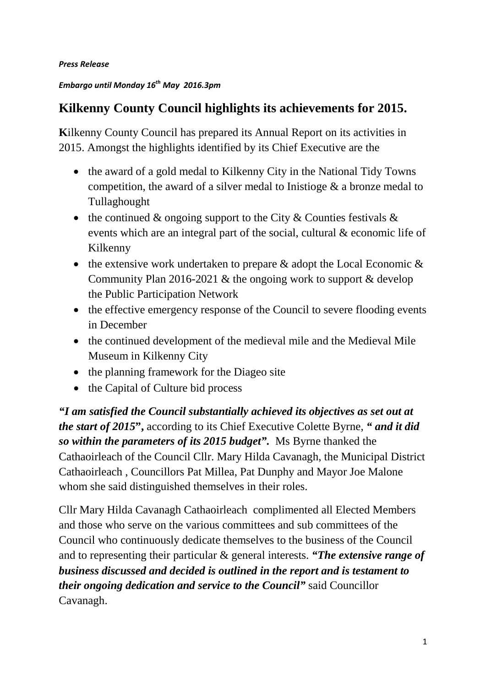*Press Release*

# *Embargo until Monday 16th May 2016.3pm*

# **Kilkenny County Council highlights its achievements for 2015.**

**K**ilkenny County Council has prepared its Annual Report on its activities in 2015. Amongst the highlights identified by its Chief Executive are the

- the award of a gold medal to Kilkenny City in the National Tidy Towns competition, the award of a silver medal to Inistioge & a bronze medal to Tullaghought
- the continued  $\&$  ongoing support to the City  $\&$  Counties festivals  $\&$ events which are an integral part of the social, cultural & economic life of Kilkenny
- the extensive work undertaken to prepare  $\&$  adopt the Local Economic  $\&$ Community Plan 2016-2021 & the ongoing work to support & develop the Public Participation Network
- the effective emergency response of the Council to severe flooding events in December
- the continued development of the medieval mile and the Medieval Mile Museum in Kilkenny City
- the planning framework for the Diageo site
- the Capital of Culture bid process

*"I am satisfied the Council substantially achieved its objectives as set out at the start of 2015***",** according to its Chief Executive Colette Byrne, *" and it did so within the parameters of its 2015 budget".* Ms Byrne thanked the Cathaoirleach of the Council Cllr. Mary Hilda Cavanagh, the Municipal District Cathaoirleach , Councillors Pat Millea, Pat Dunphy and Mayor Joe Malone whom she said distinguished themselves in their roles.

Cllr Mary Hilda Cavanagh Cathaoirleach complimented all Elected Members and those who serve on the various committees and sub committees of the Council who continuously dedicate themselves to the business of the Council and to representing their particular & general interests. *"The extensive range of business discussed and decided is outlined in the report and is testament to their ongoing dedication and service to the Council"* said Councillor Cavanagh.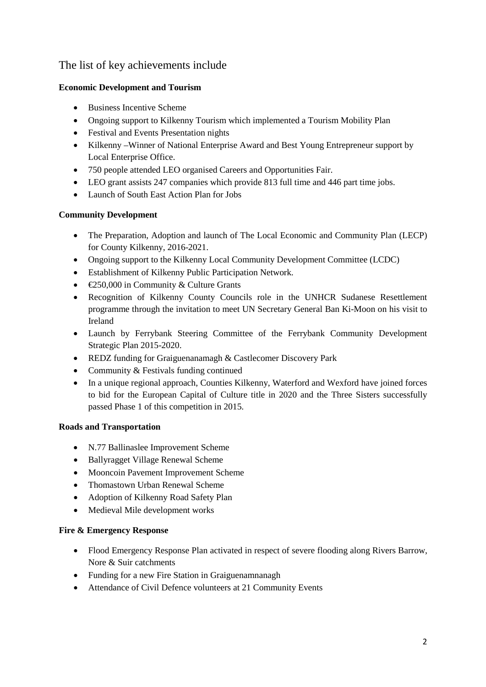# The list of key achievements include

# **Economic Development and Tourism**

- Business Incentive Scheme
- Ongoing support to Kilkenny Tourism which implemented a Tourism Mobility Plan
- Festival and Events Presentation nights
- Kilkenny –Winner of National Enterprise Award and Best Young Entrepreneur support by Local Enterprise Office.
- 750 people attended LEO organised Careers and Opportunities Fair.
- LEO grant assists 247 companies which provide 813 full time and 446 part time jobs.
- Launch of South East Action Plan for Jobs

## **Community Development**

- The Preparation, Adoption and launch of The Local Economic and Community Plan (LECP) for County Kilkenny, 2016-2021.
- Ongoing support to the Kilkenny Local Community Development Committee (LCDC)
- Establishment of Kilkenny Public Participation Network.
- €250,000 in Community & Culture Grants
- Recognition of Kilkenny County Councils role in the UNHCR Sudanese Resettlement programme through the invitation to meet UN Secretary General Ban Ki-Moon on his visit to Ireland
- Launch by Ferrybank Steering Committee of the Ferrybank Community Development Strategic Plan 2015-2020.
- REDZ funding for Graiguenanamagh & Castlecomer Discovery Park
- Community & Festivals funding continued
- In a unique regional approach, Counties Kilkenny, Waterford and Wexford have joined forces to bid for the European Capital of Culture title in 2020 and the Three Sisters successfully passed Phase 1 of this competition in 2015.

#### **Roads and Transportation**

- N.77 Ballinaslee Improvement Scheme
- Ballyragget Village Renewal Scheme
- Mooncoin Pavement Improvement Scheme
- Thomastown Urban Renewal Scheme
- Adoption of Kilkenny Road Safety Plan
- Medieval Mile development works

#### **Fire & Emergency Response**

- Flood Emergency Response Plan activated in respect of severe flooding along Rivers Barrow, Nore & Suir catchments
- Funding for a new Fire Station in Graiguenamnanagh
- Attendance of Civil Defence volunteers at 21 Community Events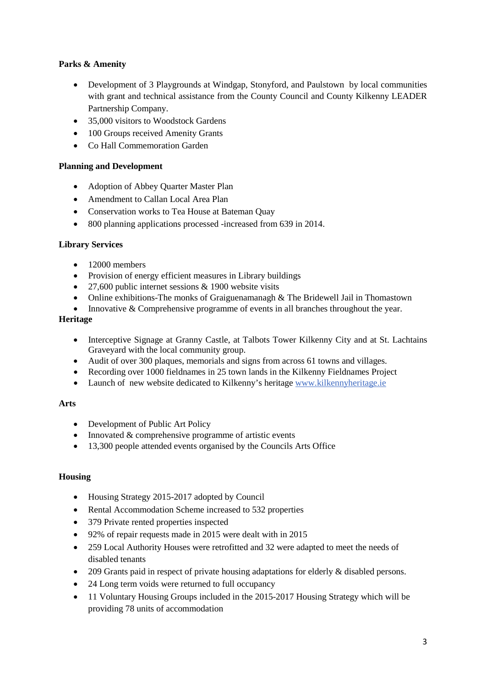## **Parks & Amenity**

- Development of 3 Playgrounds at Windgap, Stonyford, and Paulstown by local communities with grant and technical assistance from the County Council and County Kilkenny LEADER Partnership Company.
- 35,000 visitors to Woodstock Gardens
- 100 Groups received Amenity Grants
- Co Hall Commemoration Garden

#### **Planning and Development**

- Adoption of Abbey Quarter Master Plan
- Amendment to Callan Local Area Plan
- Conservation works to Tea House at Bateman Quay
- 800 planning applications processed -increased from 639 in 2014.

#### **Library Services**

- $\bullet$  12000 members
- Provision of energy efficient measures in Library buildings
- 27,600 public internet sessions & 1900 website visits
- Online exhibitions-The monks of Graiguenamanagh & The Bridewell Jail in Thomastown
- Innovative & Comprehensive programme of events in all branches throughout the year.

#### **Heritage**

- Interceptive Signage at Granny Castle, at Talbots Tower Kilkenny City and at St. Lachtains Graveyard with the local community group.
- Audit of over 300 plaques, memorials and signs from across 61 towns and villages.
- Recording over 1000 fieldnames in 25 town lands in the Kilkenny Fieldnames Project
- Launch of new website dedicated to Kilkenny's heritage [www.kilkennyheritage.ie](http://www.kilkennyheritage.ie/)

#### **Arts**

- Development of Public Art Policy
- Innovated  $&$  comprehensive programme of artistic events
- 13,300 people attended events organised by the Councils Arts Office

#### **Housing**

- Housing Strategy 2015-2017 adopted by Council
- Rental Accommodation Scheme increased to 532 properties
- 379 Private rented properties inspected
- 92% of repair requests made in 2015 were dealt with in 2015
- 259 Local Authority Houses were retrofitted and 32 were adapted to meet the needs of disabled tenants
- 209 Grants paid in respect of private housing adaptations for elderly & disabled persons.
- 24 Long term voids were returned to full occupancy
- 11 Voluntary Housing Groups included in the 2015-2017 Housing Strategy which will be providing 78 units of accommodation